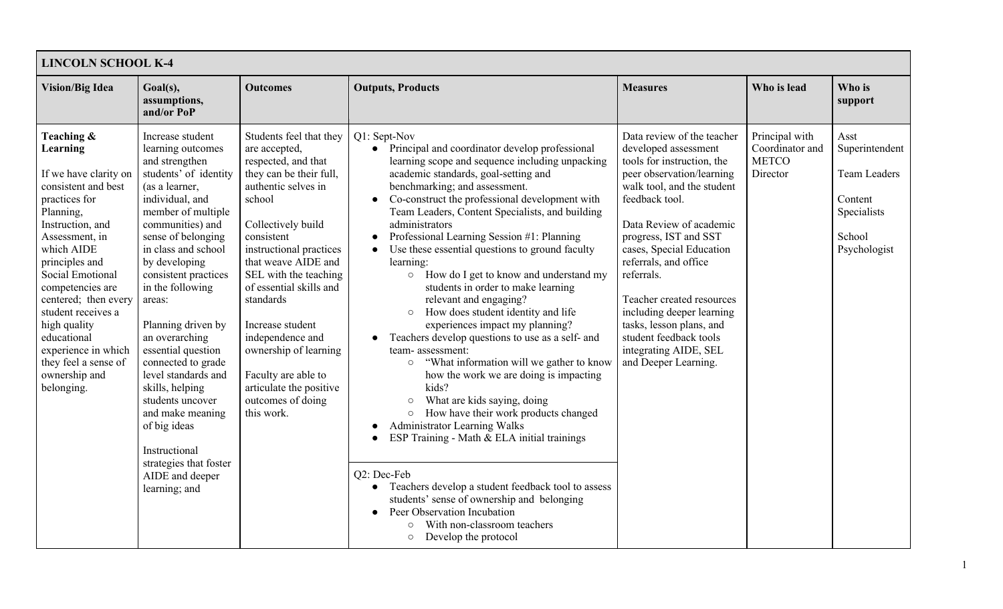| <b>LINCOLN SCHOOL K-4</b>                                                                                                                                                                                                                                                                                                                                                     |                                                                                                                                                                                                                                                                                                                                                                                                                                                                                                                                                          |                                                                                                                                                                                                                                                                                                                                                                                                                                          |                                                                                                                                                                                                                                                                                                                                                                                                                                                                                                                                                                                                                                                                                                                                                                                                                                                                                                                                                                                                                                                                                                                                                                                                                                                                                                   |                                                                                                                                                                                                                                                                                                                                                                                                                                                       |                                                               |                                                                                                   |  |
|-------------------------------------------------------------------------------------------------------------------------------------------------------------------------------------------------------------------------------------------------------------------------------------------------------------------------------------------------------------------------------|----------------------------------------------------------------------------------------------------------------------------------------------------------------------------------------------------------------------------------------------------------------------------------------------------------------------------------------------------------------------------------------------------------------------------------------------------------------------------------------------------------------------------------------------------------|------------------------------------------------------------------------------------------------------------------------------------------------------------------------------------------------------------------------------------------------------------------------------------------------------------------------------------------------------------------------------------------------------------------------------------------|---------------------------------------------------------------------------------------------------------------------------------------------------------------------------------------------------------------------------------------------------------------------------------------------------------------------------------------------------------------------------------------------------------------------------------------------------------------------------------------------------------------------------------------------------------------------------------------------------------------------------------------------------------------------------------------------------------------------------------------------------------------------------------------------------------------------------------------------------------------------------------------------------------------------------------------------------------------------------------------------------------------------------------------------------------------------------------------------------------------------------------------------------------------------------------------------------------------------------------------------------------------------------------------------------|-------------------------------------------------------------------------------------------------------------------------------------------------------------------------------------------------------------------------------------------------------------------------------------------------------------------------------------------------------------------------------------------------------------------------------------------------------|---------------------------------------------------------------|---------------------------------------------------------------------------------------------------|--|
| <b>Vision/Big Idea</b>                                                                                                                                                                                                                                                                                                                                                        | Goal(s),<br>assumptions,<br>and/or PoP                                                                                                                                                                                                                                                                                                                                                                                                                                                                                                                   | <b>Outcomes</b>                                                                                                                                                                                                                                                                                                                                                                                                                          | <b>Outputs, Products</b>                                                                                                                                                                                                                                                                                                                                                                                                                                                                                                                                                                                                                                                                                                                                                                                                                                                                                                                                                                                                                                                                                                                                                                                                                                                                          | <b>Measures</b>                                                                                                                                                                                                                                                                                                                                                                                                                                       | Who is lead                                                   | Who is<br>support                                                                                 |  |
| Teaching &<br>Learning<br>If we have clarity on<br>consistent and best<br>practices for<br>Planning,<br>Instruction, and<br>Assessment, in<br>which AIDE<br>principles and<br>Social Emotional<br>competencies are<br>centered; then every<br>student receives a<br>high quality<br>educational<br>experience in which<br>they feel a sense of<br>ownership and<br>belonging. | Increase student<br>learning outcomes<br>and strengthen<br>students' of identity<br>(as a learner,<br>individual, and<br>member of multiple<br>communities) and<br>sense of belonging<br>in class and school<br>by developing<br>consistent practices<br>in the following<br>areas:<br>Planning driven by<br>an overarching<br>essential question<br>connected to grade<br>level standards and<br>skills, helping<br>students uncover<br>and make meaning<br>of big ideas<br>Instructional<br>strategies that foster<br>AIDE and deeper<br>learning; and | Students feel that they<br>are accepted,<br>respected, and that<br>they can be their full,<br>authentic selves in<br>school<br>Collectively build<br>consistent<br>instructional practices<br>that weave AIDE and<br>SEL with the teaching<br>of essential skills and<br>standards<br>Increase student<br>independence and<br>ownership of learning<br>Faculty are able to<br>articulate the positive<br>outcomes of doing<br>this work. | Q1: Sept-Nov<br>Principal and coordinator develop professional<br>$\bullet$<br>learning scope and sequence including unpacking<br>academic standards, goal-setting and<br>benchmarking; and assessment.<br>Co-construct the professional development with<br>Team Leaders, Content Specialists, and building<br>administrators<br>Professional Learning Session #1: Planning<br>Use these essential questions to ground faculty<br>learning:<br>How do I get to know and understand my<br>$\circ$<br>students in order to make learning<br>relevant and engaging?<br>How does student identity and life<br>$\circ$<br>experiences impact my planning?<br>Teachers develop questions to use as a self- and<br>team-assessment:<br>"What information will we gather to know<br>$\circ$<br>how the work we are doing is impacting<br>kids?<br>What are kids saying, doing<br>$\circ$<br>How have their work products changed<br>$\circlearrowright$<br><b>Administrator Learning Walks</b><br>ESP Training - Math & ELA initial trainings<br>Q2: Dec-Feb<br>Teachers develop a student feedback tool to assess<br>$\bullet$<br>students' sense of ownership and belonging<br>Peer Observation Incubation<br>With non-classroom teachers<br>$\circlearrowright$<br>Develop the protocol<br>$\bigcirc$ | Data review of the teacher<br>developed assessment<br>tools for instruction, the<br>peer observation/learning<br>walk tool, and the student<br>feedback tool.<br>Data Review of academic<br>progress, IST and SST<br>cases, Special Education<br>referrals, and office<br>referrals.<br>Teacher created resources<br>including deeper learning<br>tasks, lesson plans, and<br>student feedback tools<br>integrating AIDE, SEL<br>and Deeper Learning. | Principal with<br>Coordinator and<br><b>METCO</b><br>Director | Asst<br>Superintendent<br><b>Team Leaders</b><br>Content<br>Specialists<br>School<br>Psychologist |  |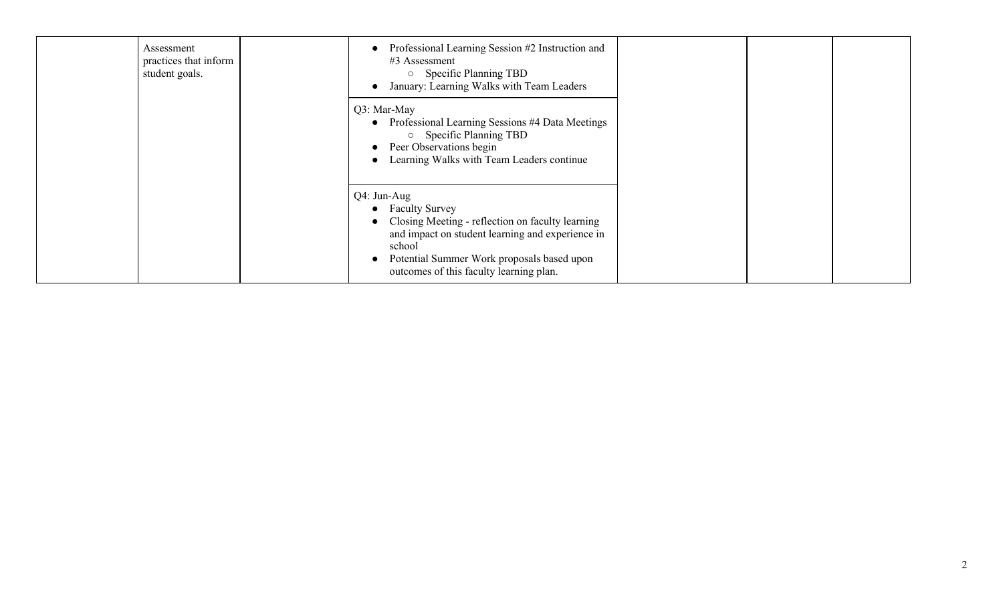| Assessment<br>practices that inform<br>student goals. | Professional Learning Session #2 Instruction and<br>#3 Assessment<br>$\circ$ Specific Planning TBD<br>January: Learning Walks with Team Leaders                                                                                            |  |  |  |
|-------------------------------------------------------|--------------------------------------------------------------------------------------------------------------------------------------------------------------------------------------------------------------------------------------------|--|--|--|
|                                                       | Q3: Mar-May<br>• Professional Learning Sessions #4 Data Meetings<br><b>Specific Planning TBD</b><br>• Peer Observations begin<br>Learning Walks with Team Leaders continue                                                                 |  |  |  |
|                                                       | Q4: Jun-Aug<br>• Faculty Survey<br>Closing Meeting - reflection on faculty learning<br>and impact on student learning and experience in<br>school<br>Potential Summer Work proposals based upon<br>outcomes of this faculty learning plan. |  |  |  |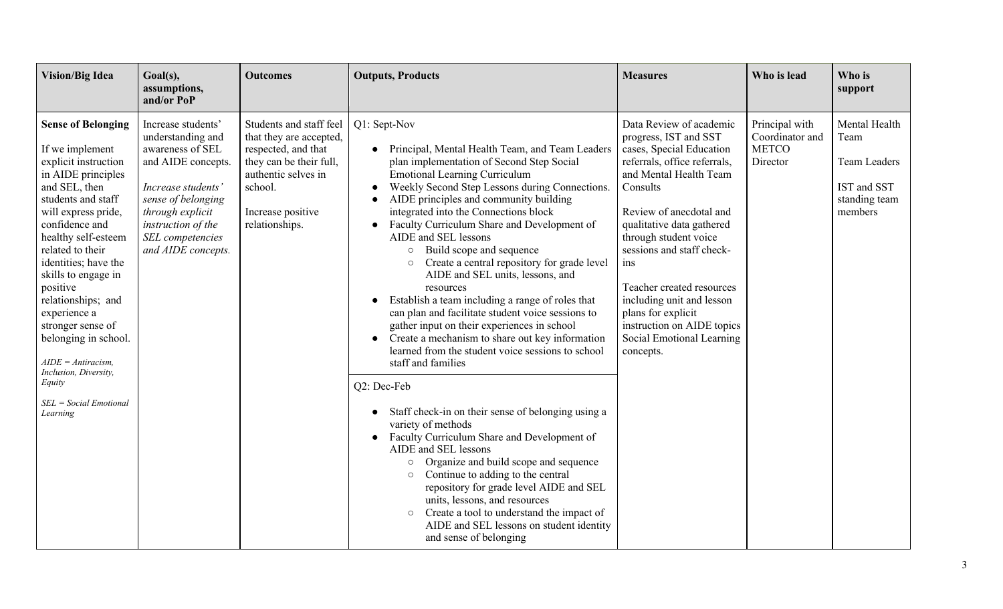| <b>Vision/Big Idea</b>                                                                                                                                                                                                                                                                                                                                                                                                                                         | Goal(s),<br>assumptions,<br>and/or PoP                                                                                                                                                                            | <b>Outcomes</b>                                                                                                                                                               | <b>Outputs, Products</b>                                                                                                                                                                                                                                                                                                                                                                                                                                                                                                                                                                                                                                                                                                                                                                                                      | <b>Measures</b>                                                                                                                                                                                                                                                                                                                                                                                                                 | Who is lead                                                   | Who is<br>support                                                                       |
|----------------------------------------------------------------------------------------------------------------------------------------------------------------------------------------------------------------------------------------------------------------------------------------------------------------------------------------------------------------------------------------------------------------------------------------------------------------|-------------------------------------------------------------------------------------------------------------------------------------------------------------------------------------------------------------------|-------------------------------------------------------------------------------------------------------------------------------------------------------------------------------|-------------------------------------------------------------------------------------------------------------------------------------------------------------------------------------------------------------------------------------------------------------------------------------------------------------------------------------------------------------------------------------------------------------------------------------------------------------------------------------------------------------------------------------------------------------------------------------------------------------------------------------------------------------------------------------------------------------------------------------------------------------------------------------------------------------------------------|---------------------------------------------------------------------------------------------------------------------------------------------------------------------------------------------------------------------------------------------------------------------------------------------------------------------------------------------------------------------------------------------------------------------------------|---------------------------------------------------------------|-----------------------------------------------------------------------------------------|
| <b>Sense of Belonging</b><br>If we implement<br>explicit instruction<br>in AIDE principles<br>and SEL, then<br>students and staff<br>will express pride,<br>confidence and<br>healthy self-esteem<br>related to their<br>identities; have the<br>skills to engage in<br>positive<br>relationships; and<br>experience a<br>stronger sense of<br>belonging in school.<br>$AIDE = Antiracism$ ,<br>Inclusion, Diversity,<br>Equity<br>$SEL = Social \; Emotional$ | Increase students'<br>understanding and<br>awareness of SEL<br>and AIDE concepts.<br>Increase students'<br>sense of belonging<br>through explicit<br>instruction of the<br>SEL competencies<br>and AIDE concepts. | Students and staff feel<br>that they are accepted,<br>respected, and that<br>they can be their full,<br>authentic selves in<br>school.<br>Increase positive<br>relationships. | Q1: Sept-Nov<br>• Principal, Mental Health Team, and Team Leaders<br>plan implementation of Second Step Social<br><b>Emotional Learning Curriculum</b><br>Weekly Second Step Lessons during Connections.<br>AIDE principles and community building<br>integrated into the Connections block<br>Faculty Curriculum Share and Development of<br>AIDE and SEL lessons<br>Build scope and sequence<br>$\circ$<br>Create a central repository for grade level<br>AIDE and SEL units, lessons, and<br>resources<br>Establish a team including a range of roles that<br>$\bullet$<br>can plan and facilitate student voice sessions to<br>gather input on their experiences in school<br>• Create a mechanism to share out key information<br>learned from the student voice sessions to school<br>staff and families<br>Q2: Dec-Feb | Data Review of academic<br>progress, IST and SST<br>cases, Special Education<br>referrals, office referrals,<br>and Mental Health Team<br>Consults<br>Review of anecdotal and<br>qualitative data gathered<br>through student voice<br>sessions and staff check-<br>ins<br>Teacher created resources<br>including unit and lesson<br>plans for explicit<br>instruction on AIDE topics<br>Social Emotional Learning<br>concepts. | Principal with<br>Coordinator and<br><b>METCO</b><br>Director | Mental Health<br>Team<br><b>Team Leaders</b><br>IST and SST<br>standing team<br>members |
| Learning                                                                                                                                                                                                                                                                                                                                                                                                                                                       |                                                                                                                                                                                                                   |                                                                                                                                                                               | Staff check-in on their sense of belonging using a<br>variety of methods<br>Faculty Curriculum Share and Development of<br>AIDE and SEL lessons<br>Organize and build scope and sequence<br>$\circ$<br>Continue to adding to the central<br>$\circ$<br>repository for grade level AIDE and SEL<br>units, lessons, and resources<br>Create a tool to understand the impact of<br>$\circ$<br>AIDE and SEL lessons on student identity<br>and sense of belonging                                                                                                                                                                                                                                                                                                                                                                 |                                                                                                                                                                                                                                                                                                                                                                                                                                 |                                                               |                                                                                         |